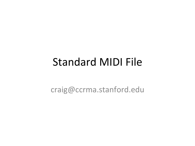### Standard MIDI File

craig@ccrma.stanford.edu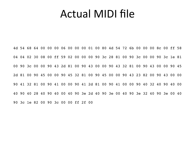#### Actual MIDI file

4d 54 68 64 00 00 00 06 00 00 00 01 00 80 4d 54 72 6b 00 00 00 8c 00 ff 58 04 04 02 30 08 00 ff 59 02 00 00 00 90 3c 28 81 00 90 3c 00 00 90 3c 1e 81 00 90 3c 00 00 90 43 2d 81 00 90 43 00 00 90 43 32 81 00 90 43 00 00 90 45 2d 81 00 90 45 00 00 90 45 32 81 00 90 45 00 00 90 43 23 82 00 90 43 00 00 90 41 32 81 00 90 41 00 00 90 41 2d 81 00 90 41 00 00 90 40 32 40 90 40 00 40 90 40 28 40 90 40 00 40 90 3e 2d 40 90 3e 00 40 90 3e 32 40 90 3e 00 40 90 3c 1e 82 00 90 3c 00 00 ff 2f 00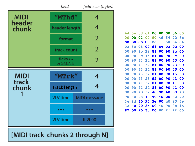|                 | field                                         | field size (bytes)      |
|-----------------|-----------------------------------------------|-------------------------|
| <b>MIDI</b>     | "MThd"                                        | 4                       |
| header<br>chunk | header length                                 | 4                       |
|                 | format                                        |                         |
|                 | track count                                   | 2                       |
|                 | ticks / J<br>or SMPTE                         | $\overline{2}$          |
|                 |                                               |                         |
| <b>MIDI</b>     | $^{\prime\prime}$ MTr $\bf{k}^{\prime\prime}$ | 4                       |
| track<br>chunk  | track length                                  | 4                       |
|                 | VLV time                                      | <b>MIDI</b> message     |
|                 | $\bullet\bullet\bullet$                       | $\bullet\bullet\bullet$ |

#### [MIDI track chunks 2 through N]

| 4d             | 54 | 68             | 64             | 00 | 00 | 00 | 06             | 00 |
|----------------|----|----------------|----------------|----|----|----|----------------|----|
| 0 <sub>0</sub> | 00 | 01             | 00             | 80 | 4d | 54 | 72             | 6b |
| 00             | 00 | 00             | 8 <sub>c</sub> | 00 | ff | 58 | 04             | 04 |
| 02             | 30 | 08             | 00             | ff | 59 | 02 | 00             | 00 |
| 00             | 90 | 3 <sub>c</sub> | 28             | 81 | 00 | 90 | 3 <sub>c</sub> | 00 |
| 0 <sub>0</sub> | 90 | 3 <sub>c</sub> | $1\mathsf{e}$  | 81 | 00 | 90 | 3 <sub>c</sub> | 00 |
| 00             | 90 | 43             | 2d             | 81 | 00 | 90 | 43             | 00 |
| 00             | 90 | 43             | 32             | 81 | 00 | 90 | 43             | 00 |
| 00             | 90 | 45             | 2d             | 81 | 00 | 90 | 45             | 00 |
| 00             | 90 | 45             | 32             | 81 | 00 | 90 | 45             | 00 |
| 00             | 90 | 43             | 23             | 82 | 00 | 90 | 43             | 00 |
| 00             | 90 | 41             | 32             | 81 | 00 | 90 | 41             | 00 |
| 00             | 90 | 41             | 2d             | 81 | 00 | 90 | 41             | 00 |
| 00             | 90 | 40             | 32             | 40 | 90 | 40 | 00             | 40 |
| 90             | 40 | 28             | 40             | 90 | 40 | 00 | 40             | 90 |
| 3e             | 2d | 40             | 90             | 3e | 00 | 40 | 90             | 3e |
| 32             | 40 | 90             | 3e             | 00 | 40 | 90 | 3 <sub>c</sub> | 1e |
| 82             | 00 | 90             | 3 <sub>c</sub> | 00 | 00 | ff | 2f             | 00 |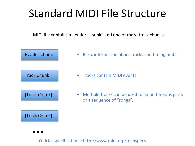## Standard MIDI File Structure

MIDI file contains a header "chunk" and one or more track chunks.



Official specifications: http://www.midi.org/techspecs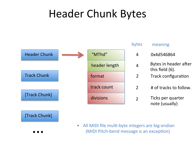### Header Chunk Bytes

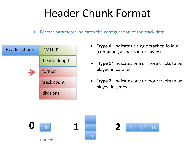# Header Chunk Format

• Format parameter indicates the configuration of the track data



- "type 0" indicates a single track to follow (containing all parts interleaved)
- "type 1" indicates one or more tracks to be played in parallel.
- "type 2" indicates one or more tracks to be played in series.





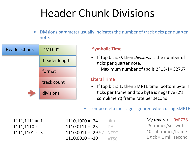# **Header Chunk Divisions**

Divisions parameter usually indicates the number of track ticks per quarter note. 



#### **Symbolic Time**

• If top bit is 0, then *divisions* is the number of ticks per quarter note. Maximum number of tpq is  $2^1-32767$ 

#### **Literal Time**

- If top bit is 1, then SMPTE time: bottom byte is ticks per frame and top byte is negative (2's compliment) frame rate per second.
- Tempo meta messages ignored when using SMPTE

 $1111,1111 = -1$  $1111,1110 = -2$  $1111,1101 = -3$ 

| $1110,1000 = -24$    | film        |
|----------------------|-------------|
| $1110,0111 = -25$    | PAL         |
| $1110,0011 = -29.97$ | <b>NTSC</b> |
| $1110,0010 = -30$    | <b>ATSC</b> |

*My favorite:*  0xE728 25 frames/sec with 40 subframes/frame 1  $\text{tick} = 1$  millisecond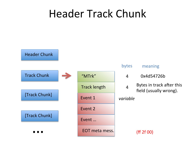### Header Track Chunk

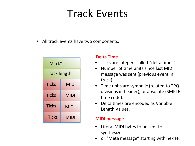## Track Events

• All track events have two components:

| "MTrk"              |             |  |  |
|---------------------|-------------|--|--|
| <b>Track length</b> |             |  |  |
| <b>Ticks</b>        | <b>MIDI</b> |  |  |
| <b>Ticks</b>        | <b>MIDI</b> |  |  |
| <b>Ticks</b>        | MIDI        |  |  |
| <b>Ticks</b>        | <b>MIDI</b> |  |  |

#### **Delta Time**

- Ticks are integers called "delta times"
- Number of time units since last MIDI message was sent (previous event in track).
- Time units are symbolic (related to TPQ divisions in header), or absolute (SMPTE time code).
- $\bullet$  Delta times are encoded as Variable Length Values.

#### **MIDI** message

- Literal MIDI bytes to be sent to synthesizer
- or "Meta message" starting with hex FF.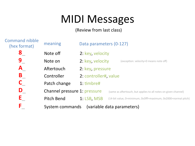# **MIDI Messages**

(Review from last class)

| <b>Command nibble</b><br>(hex format) | meaning                      | Data parameters (0-127) |                                                                 |  |  |
|---------------------------------------|------------------------------|-------------------------|-----------------------------------------------------------------|--|--|
| 8                                     | Note off                     | 2: key, velocity        |                                                                 |  |  |
| 9                                     | Note on                      | 2: key, velocity        | (exception: velocity=0 means note off)                          |  |  |
| A                                     | Aftertouch                   | 2: key, pressure        |                                                                 |  |  |
| B                                     | Controller                   | 2: controller#, value   |                                                                 |  |  |
|                                       | Patch change                 | 1: timbre#              |                                                                 |  |  |
| D                                     | Channel pressure 1: pressure |                         | (same as aftertouch, but applies to all notes on given channel) |  |  |
| Ε                                     | Pitch Bend                   | 1: LSB, MSB             | (14-bit value, 0=minimum, 0x3fff=maximum, 0x2000=normal pitch)  |  |  |
| F                                     | System commands              |                         | (variable data parameters)                                      |  |  |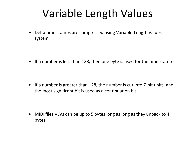# Variable Length Values

• Delta time stamps are compressed using Variable-Length Values system 

• If a number is less than 128, then one byte is used for the time stamp

• If a number is greater than 128, the number is cut into 7-bit units, and the most significant bit is used as a continuation bit.

• MIDI files VLVs can be up to 5 bytes long as long as they unpack to 4 bytes.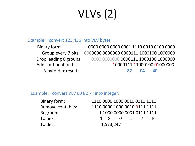# $VLVs(2)$

#### Example: convert 123,456 into VLV bytes

Binary form: 0000 0000 0000 00001 1110 0010 0100 0000 Group every 7 bits: 0000000 0000000 0000111 1000100 1000000 Drop leading 0 groups: 0000 0000000 0000111 1000100 1000000 Add conFnuaFon bit: 10000111 11000100 01000000 3-byte Hex result: **87 C4 40** 

#### Example: convert VLV E0 82 7F into integer:

| Binary form:       |                                     | 1110 0000 1000 0010 0111 1111 |                                         |  |
|--------------------|-------------------------------------|-------------------------------|-----------------------------------------|--|
| Remove cont. bits: |                                     | 1110 0000 1000 0010 0111 1111 |                                         |  |
| Regroup:           |                                     | 1 1000 0000 0001 0111 1111    |                                         |  |
| To hex:            | $\begin{matrix} 1 & 8 \end{matrix}$ |                               | $\begin{matrix} 0 & 1 & 7 \end{matrix}$ |  |
| To dec:            | 1,573,247                           |                               |                                         |  |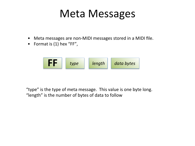### **Meta Messages**

- Meta messages are non-MIDI messages stored in a MIDI file.
- Format is  $(1)$  hex "FF",



"type" is the type of meta message. This value is one byte long. "length" is the number of bytes of data to follow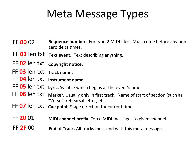### Meta Message Types

- **FF 00** 02 Sequence number. For type-2 MIDI files. Must come before any nonzero delta times.
- FF 01 len txt **Text event.** Text describing anything.
- FF 02 len txt copyright notice.
- FF 03 len txt Track name.
- FF 04 len txt **Instrument** name.
- FF 05 len txt Lyric. Syllable which begins at the event's time.
- FF 06 len txt Marker. Usually only in first track. Name of start of section (such as "Verse", rehearsal letter, etc.
- FF 07 len txt cue point. Stage direction for current time.
- **FF 20** 01 **MIDI channel prefix.** Force MIDI messages to given channel.
- **FF 2F 00 End of Track.** All tracks must end with this meta message.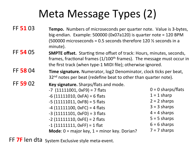# Meta Message Types (2)

- **FF 51 03 Tempo.** Numbers of microseconds per quarter note. Value is 3-bytes, big-endian. Example:  $500000$  (0x07a120) is quarter note = 120 BPM (500000 microseconds = 0.5 seconds therefore 120  $\frac{1}{2}$  seconds in a minute).
- **FF 54 05** SMPTE offset. Starting time offset of track: Hours, minutes, seconds, frames, fractional frames  $(1/100<sup>th</sup>$  frames). The message must occur in the first track (when type-1 MIDI file); otherwise ignored.
- **FF 58 04 Time signature.** Numerator, log2 Denominator, clock ticks per beat,  $32<sup>nd</sup>$  notes per beat (redefine beat to other than quarter note).

#### **FF 59 02 Key signature.** Sharps/flats and mode.

| $1 = 1$ sharp<br>$-6$ (11111010, 0xFA) = 6 flats<br>$2 = 2$ sharps<br>$-5$ (11111011, 0xFB) = 5 flats<br>$3 = 3$ sharps<br>$-4$ (11111100, 0xFC) = 4 flats<br>$4 = 4$ sharps<br>$-3$ (11111101, 0xFD) = 3 flats<br>$5 = 5$ sharps<br>$-2$ (11111110, OxFE) = 2 flats<br>$6 = 6$ sharps<br>$-1$ (11111111, OxFF) = 1 flat<br>$7 = 7$ sharps<br><b>Mode</b> : $0 =$ major key, $1 =$ minor key. Dorian? | $-7$ (11111001, 0xF9) = 7 flats | $0 = 0$ sharps/flats |
|-------------------------------------------------------------------------------------------------------------------------------------------------------------------------------------------------------------------------------------------------------------------------------------------------------------------------------------------------------------------------------------------------------|---------------------------------|----------------------|
|                                                                                                                                                                                                                                                                                                                                                                                                       |                                 |                      |
|                                                                                                                                                                                                                                                                                                                                                                                                       |                                 |                      |
|                                                                                                                                                                                                                                                                                                                                                                                                       |                                 |                      |
|                                                                                                                                                                                                                                                                                                                                                                                                       |                                 |                      |
|                                                                                                                                                                                                                                                                                                                                                                                                       |                                 |                      |
|                                                                                                                                                                                                                                                                                                                                                                                                       |                                 |                      |
|                                                                                                                                                                                                                                                                                                                                                                                                       |                                 |                      |

FF 7F len dta System Exclusive style meta-event.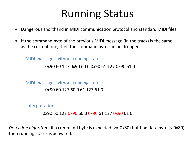# Running Status

- Dangerous shorthand in MIDI communication protocol and standard MIDI files
- If the command byte of the previous MIDI message (in the track) is the same as the current one, then the command byte can be dropped.

MIDI messages without running status:

0x90 60 127 0x90 60 0 0x90 61 127 0x90 61 0

MIDI messages without running status:

0x90 60 127 60 0 61 127 61 0 

Interpretation:

0x90 60 127 0x90 60 0 0x90 61 127 0x90 61 0

*Detection algorithm*: if a command byte is expected (>= 0x80) but find data byte (< 0x80), then running status is activated.